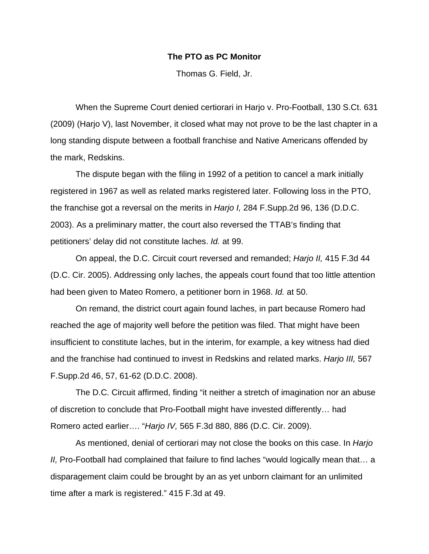## **The PTO as PC Monitor**

Thomas G. Field, Jr.

 When the Supreme Court denied certiorari in Harjo v. Pro-Football, 130 S.Ct. 631 (2009) (Harjo V), last November, it closed what may not prove to be the last chapter in a long standing dispute between a football franchise and Native Americans offended by the mark, Redskins.

 The dispute began with the filing in 1992 of a petition to cancel a mark initially registered in 1967 as well as related marks registered later. Following loss in the PTO, the franchise got a reversal on the merits in *Harjo I,* 284 F.Supp.2d 96, 136 (D.D.C. 2003). As a preliminary matter, the court also reversed the TTAB's finding that petitioners' delay did not constitute laches. *Id.* at 99.

 On appeal, the D.C. Circuit court reversed and remanded; *Harjo II,* 415 F.3d 44 (D.C. Cir. 2005). Addressing only laches, the appeals court found that too little attention had been given to Mateo Romero, a petitioner born in 1968. *Id.* at 50.

 On remand, the district court again found laches, in part because Romero had reached the age of majority well before the petition was filed. That might have been insufficient to constitute laches, but in the interim, for example, a key witness had died and the franchise had continued to invest in Redskins and related marks. *Harjo III,* 567 F.Supp.2d 46, 57, 61-62 (D.D.C. 2008).

 The D.C. Circuit affirmed, finding "it neither a stretch of imagination nor an abuse of discretion to conclude that Pro-Football might have invested differently… had Romero acted earlier…. "*Harjo IV,* 565 F.3d 880, 886 (D.C. Cir. 2009).

 As mentioned, denial of certiorari may not close the books on this case. In *Harjo II,* Pro-Football had complained that failure to find laches "would logically mean that… a disparagement claim could be brought by an as yet unborn claimant for an unlimited time after a mark is registered." 415 F.3d at 49.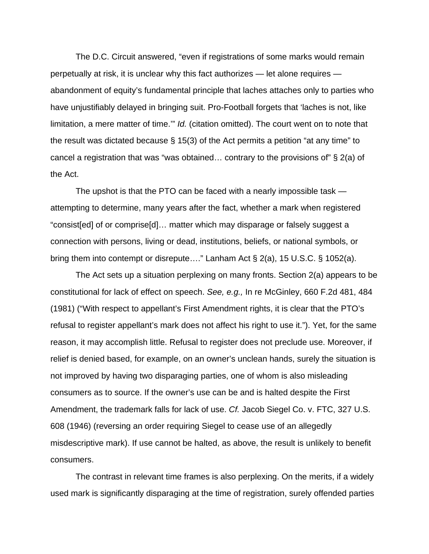The D.C. Circuit answered, "even if registrations of some marks would remain perpetually at risk, it is unclear why this fact authorizes — let alone requires abandonment of equity's fundamental principle that laches attaches only to parties who have unjustifiably delayed in bringing suit. Pro-Football forgets that 'laches is not, like limitation, a mere matter of time.'" *Id.* (citation omitted). The court went on to note that the result was dictated because § 15(3) of the Act permits a petition "at any time" to cancel a registration that was "was obtained… contrary to the provisions of" § 2(a) of the Act.

 The upshot is that the PTO can be faced with a nearly impossible task attempting to determine, many years after the fact, whether a mark when registered "consist[ed] of or comprise[d]… matter which may disparage or falsely suggest a connection with persons, living or dead, institutions, beliefs, or national symbols, or bring them into contempt or disrepute…." Lanham Act § 2(a), 15 U.S.C. § 1052(a).

 The Act sets up a situation perplexing on many fronts. Section 2(a) appears to be constitutional for lack of effect on speech. *See, e.g.,* In re McGinley, 660 F.2d 481, 484 (1981) ("With respect to appellant's First Amendment rights, it is clear that the PTO's refusal to register appellant's mark does not affect his right to use it."). Yet, for the same reason, it may accomplish little. Refusal to register does not preclude use. Moreover, if relief is denied based, for example, on an owner's unclean hands, surely the situation is not improved by having two disparaging parties, one of whom is also misleading consumers as to source. If the owner's use can be and is halted despite the First Amendment, the trademark falls for lack of use. *Cf.* Jacob Siegel Co. v. FTC, 327 U.S. 608 (1946) (reversing an order requiring Siegel to cease use of an allegedly misdescriptive mark). If use cannot be halted, as above, the result is unlikely to benefit consumers.

 The contrast in relevant time frames is also perplexing. On the merits, if a widely used mark is significantly disparaging at the time of registration, surely offended parties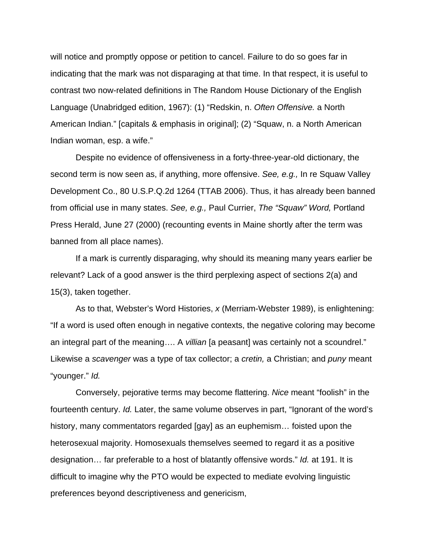will notice and promptly oppose or petition to cancel. Failure to do so goes far in indicating that the mark was not disparaging at that time. In that respect, it is useful to contrast two now-related definitions in The Random House Dictionary of the English Language (Unabridged edition, 1967): (1) "Redskin, n. *Often Offensive.* a North American Indian." [capitals & emphasis in original]; (2) "Squaw, n. a North American Indian woman, esp. a wife."

 Despite no evidence of offensiveness in a forty-three-year-old dictionary, the second term is now seen as, if anything, more offensive. *See, e.g.,* In re Squaw Valley Development Co., 80 U.S.P.Q.2d 1264 (TTAB 2006). Thus, it has already been banned from official use in many states. *See, e.g.,* Paul Currier, *The "Squaw" Word,* Portland Press Herald, June 27 (2000) (recounting events in Maine shortly after the term was banned from all place names).

 If a mark is currently disparaging, why should its meaning many years earlier be relevant? Lack of a good answer is the third perplexing aspect of sections 2(a) and 15(3), taken together.

 As to that, Webster's Word Histories, *x* (Merriam-Webster 1989), is enlightening: "If a word is used often enough in negative contexts, the negative coloring may become an integral part of the meaning…. A *villian* [a peasant] was certainly not a scoundrel." Likewise a *scavenger* was a type of tax collector; a *cretin,* a Christian; and *puny* meant "younger." *Id.*

 Conversely, pejorative terms may become flattering. *Nice* meant "foolish" in the fourteenth century. *Id.* Later, the same volume observes in part, "Ignorant of the word's history, many commentators regarded [gay] as an euphemism... foisted upon the heterosexual majority. Homosexuals themselves seemed to regard it as a positive designation… far preferable to a host of blatantly offensive words." *Id.* at 191. It is difficult to imagine why the PTO would be expected to mediate evolving linguistic preferences beyond descriptiveness and genericism,